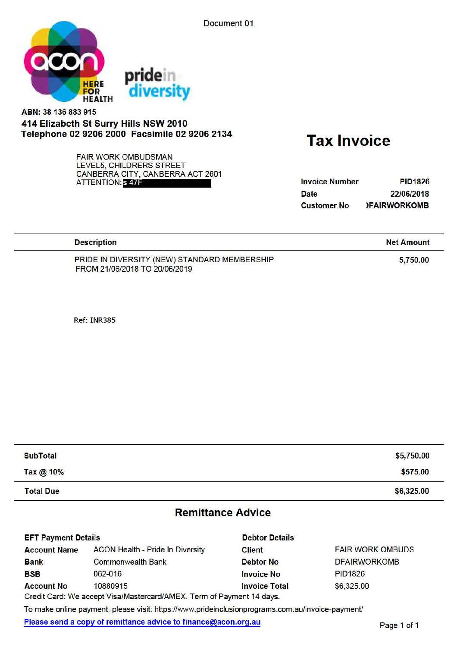Document 01



## **ABN:** 38 136 883 915 414 Elizabeth St Surry Hills NSW 2010 Telephone 02 9206 2000 Facsimile 02 9206 2134 Tax Invoice

FAIR WORK OMBUDSMAN LEVELS, CHILDRERS STREET CANBERRA CITY, CANBERRA ACT 2601 ATTENTION: S 47F

| <b>Invoice Number</b> | <b>PID1826</b>      |
|-----------------------|---------------------|
| <b>Date</b>           | 22/06/2018          |
| <b>Customer No</b>    | <b>IFAIRWORKOMB</b> |

| <b>Description</b>                           | <b>Net Amount</b> |
|----------------------------------------------|-------------------|
| PRIDE IN DIVERSITY (NEW) STANDARD MEMBERSHIP | 5,750.00          |
| FROM 21/06/2018 TO 20/06/2019                |                   |

**Ref: INR385** 

| <b>SubTotal</b>  | \$5,750.00 |
|------------------|------------|
| Tax @ 10%        | \$575.00   |
| <b>Total Due</b> | \$6,325.00 |

### Remittance Advice

| <b>EFT Payment Details</b> |                                                                                                                                                                                                                                                                       | <b>Debtor Details</b>                                                      |                         |
|----------------------------|-----------------------------------------------------------------------------------------------------------------------------------------------------------------------------------------------------------------------------------------------------------------------|----------------------------------------------------------------------------|-------------------------|
| <b>Account Name</b>        | <b>ACON Health - Pride In Diversity</b>                                                                                                                                                                                                                               | <b>Client</b>                                                              | <b>FAIR WORK OMBUDS</b> |
| <b>Bank</b>                | <b>Commonwealth Bank</b>                                                                                                                                                                                                                                              | <b>Debtor No</b>                                                           | <b>DFAIRWORKOMB</b>     |
| <b>BSB</b>                 | 062-016                                                                                                                                                                                                                                                               | <b>Invoice No</b>                                                          | <b>PID1826</b>          |
| <b>Account No</b>          | 10880915                                                                                                                                                                                                                                                              | <b>Invoice Total</b>                                                       | \$6,325.00              |
|                            | <b>CONTRACTOR</b> IN THE RESIDENCE OF THE RESIDENCE OF A RESIDENCE OF THE RESIDENCE OF THE RESIDENCE OF A RESIDENCE OF THE RESIDENCE OF THE RESIDENCE OF THE RESIDENCE OF THE RESIDENCE OF THE RESIDENCE OF THE RESIDENCE OF THE RE<br>$\frac{1}{2}$<br>$\sim$ $\sim$ | a contract to the first of the contract of the contract of the contract of |                         |

Credit Card: We accept Visa/Mastercard/AMEX. Term of Payment 14 days.

To make online payment, please visit: [https://www.prideinclusionprograms.com.au/invoice-payment/](https://www.prideinclusionprograms.com.au/invoice-payment)

Please send a copy of remittance advice to finance@acon.org.au Please send a copy of remittance advice to finance@acon.org.au